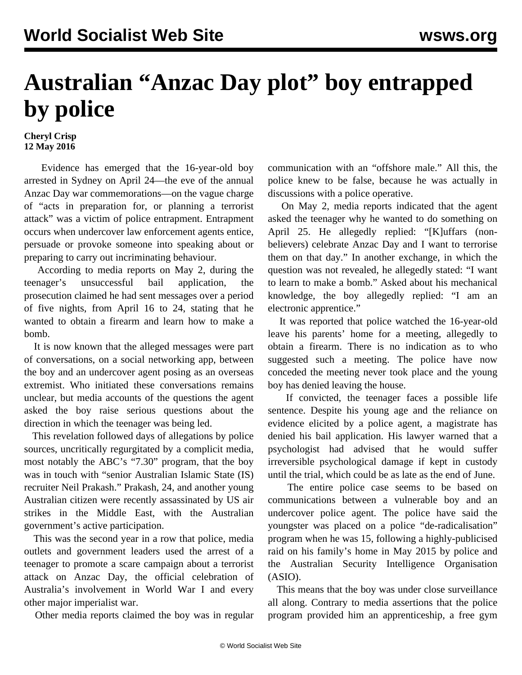## **Australian "Anzac Day plot" boy entrapped by police**

## **Cheryl Crisp 12 May 2016**

 Evidence has emerged that the 16-year-old boy arrested in Sydney on April 24—the eve of the annual Anzac Day war commemorations—on the vague charge of "acts in preparation for, or planning a terrorist attack" was a victim of police entrapment. Entrapment occurs when undercover law enforcement agents entice, persuade or provoke someone into speaking about or preparing to carry out incriminating behaviour.

 According to media reports on May 2, during the teenager's unsuccessful bail application, the prosecution claimed he had sent messages over a period of five nights, from April 16 to 24, stating that he wanted to obtain a firearm and learn how to make a bomb.

 It is now known that the alleged messages were part of conversations, on a social networking app, between the boy and an undercover agent posing as an overseas extremist. Who initiated these conversations remains unclear, but media accounts of the questions the agent asked the boy raise serious questions about the direction in which the teenager was being led.

 This revelation followed days of allegations by police sources, uncritically regurgitated by a complicit media, most notably the ABC's "7.30" program, that the boy was in touch with "senior Australian Islamic State (IS) recruiter Neil Prakash." Prakash, 24, and another young Australian citizen were recently [assassinated](/en/articles/2016/05/07/isis-m07.html) by US air strikes in the Middle East, with the Australian government's active participation.

 This was the second year in a row that police, media outlets and government leaders used the arrest of a teenager to promote a [scare campaign](/en/articles/2016/04/27/turn-a27.html) about a terrorist attack on Anzac Day, the official celebration of Australia's involvement in World War I and every other major imperialist war.

Other media reports claimed the boy was in regular

communication with an "offshore male." All this, the police knew to be false, because he was actually in discussions with a police operative.

 On May 2, media reports indicated that the agent asked the teenager why he wanted to do something on April 25. He allegedly replied: "[K]uffars (nonbelievers) celebrate Anzac Day and I want to terrorise them on that day." In another exchange, in which the question was not revealed, he allegedly stated: "I want to learn to make a bomb." Asked about his mechanical knowledge, the boy allegedly replied: "I am an electronic apprentice."

 It was reported that police watched the 16-year-old leave his parents' home for a meeting, allegedly to obtain a firearm. There is no indication as to who suggested such a meeting. The police have now conceded the meeting never took place and the young boy has denied leaving the house.

 If convicted, the teenager faces a possible life sentence. Despite his young age and the reliance on evidence elicited by a police agent, a magistrate has denied his bail application. His lawyer warned that a psychologist had advised that he would suffer irreversible psychological damage if kept in custody until the trial, which could be as late as the end of June.

 The entire police case seems to be based on communications between a vulnerable boy and an undercover police agent. The police have said the youngster was placed on a police "de-radicalisation" program when he was 15, following a highly-publicised raid on his family's home in May 2015 by police and the Australian Security Intelligence Organisation (ASIO).

 This means that the boy was under close surveillance all along. Contrary to media assertions that the police program provided him an apprenticeship, a free gym